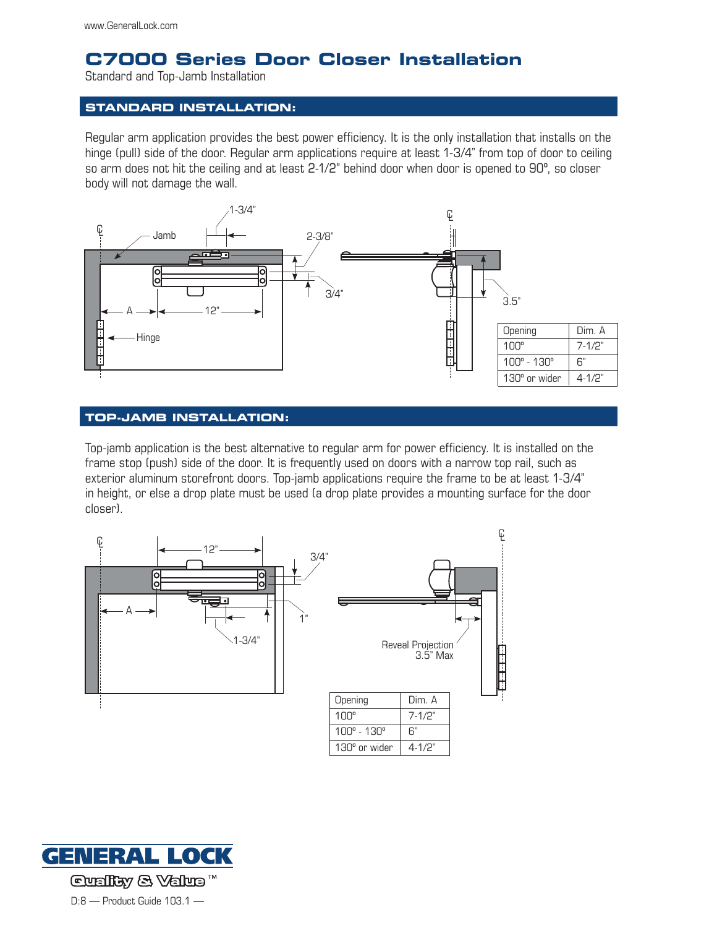# **C7000 Series Door Closer Installation**

Standard and Top-Jamb Installation

### **Standard installation:**

Regular arm application provides the best power efficiency. It is the only installation that installs on the hinge (pull) side of the door. Regular arm applications require at least 1-3/4" from top of door to ceiling so arm does not hit the ceiling and at least 2-1/2" behind door when door is opened to 90º, so closer body will not damage the wall.



#### **Top-Jamb installation:**

Top-jamb application is the best alternative to regular arm for power efficiency. It is installed on the frame stop (push) side of the door. It is frequently used on doors with a narrow top rail, such as exterior aluminum storefront doors. Top-jamb applications require the frame to be at least 1-3/4" in height, or else a drop plate must be used (a drop plate provides a mounting surface for the door closer).



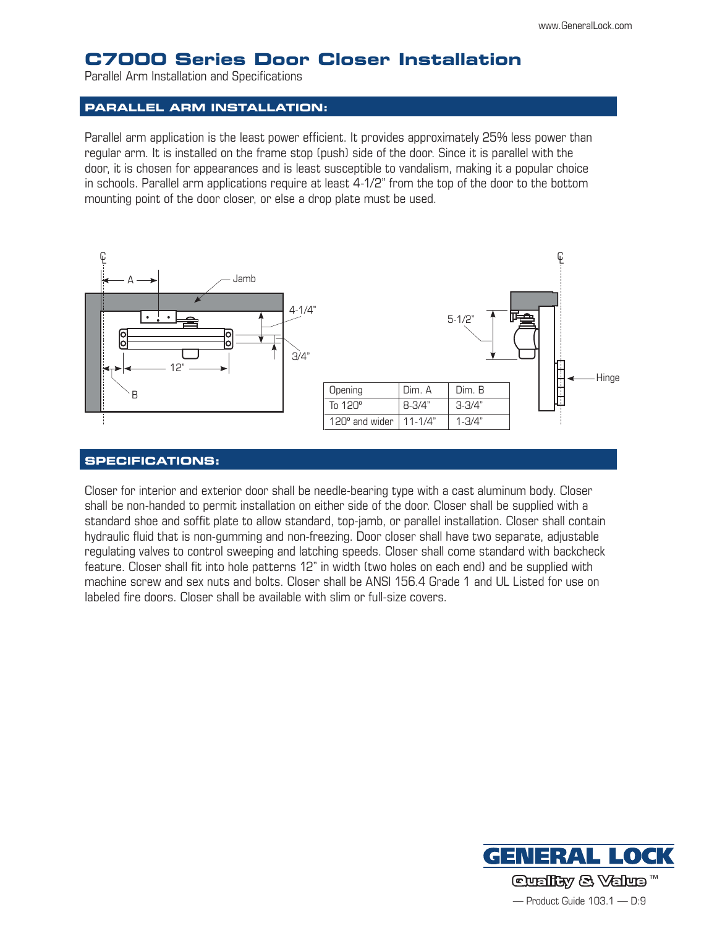## **C7000 Series Door Closer Installation**

Parallel Arm Installation and Specifications

#### **Parallel Arm installation:**

Parallel arm application is the least power efficient. It provides approximately 25% less power than regular arm. It is installed on the frame stop (push) side of the door. Since it is parallel with the door, it is chosen for appearances and is least susceptible to vandalism, making it a popular choice in schools. Parallel arm applications require at least 4-1/2" from the top of the door to the bottom mounting point of the door closer, or else a drop plate must be used.



#### **Specifications:**

Closer for interior and exterior door shall be needle-bearing type with a cast aluminum body. Closer shall be non-handed to permit installation on either side of the door. Closer shall be supplied with a standard shoe and soffit plate to allow standard, top-jamb, or parallel installation. Closer shall contain hydraulic fluid that is non-gumming and non-freezing. Door closer shall have two separate, adjustable regulating valves to control sweeping and latching speeds. Closer shall come standard with backcheck feature. Closer shall fit into hole patterns 12" in width (two holes on each end) and be supplied with machine screw and sex nuts and bolts. Closer shall be ANSI 156.4 Grade 1 and UL Listed for use on labeled fire doors. Closer shall be available with slim or full-size covers.